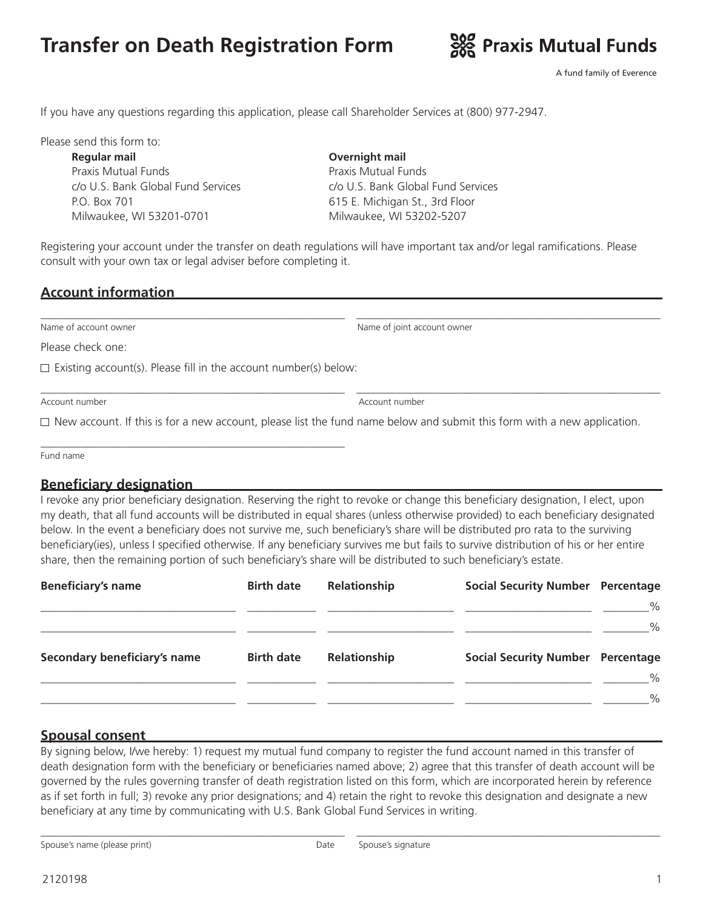# **Transfer on Death Registration Form**



See Praxis Mutual Funds

If you have any questions regarding this application, please call Shareholder Services at (800) 977-2947.

Please send this form to:

**Regular mail Overnight mail** Praxis Mutual Funds c/o U.S. Bank Global Fund Services P.O. Box 701 Milwaukee, WI 53201-0701

Praxis Mutual Funds c/o U.S. Bank Global Fund Services 615 E. Michigan St., 3rd Floor Milwaukee, WI 53202-5207

Registering your account under the transfer on death regulations will have important tax and/or legal ramifications. Please consult with your own tax or legal adviser before completing it.

\_\_\_\_\_\_\_\_\_\_\_\_\_\_\_\_\_\_\_\_\_\_\_\_\_\_\_\_\_\_\_\_\_\_\_\_\_\_\_\_\_\_\_\_\_\_\_\_\_\_\_\_\_ \_\_\_\_\_\_\_\_\_\_\_\_\_\_\_\_\_\_\_\_\_\_\_\_\_\_\_\_\_\_\_\_\_\_\_\_\_\_\_\_\_\_\_\_\_\_\_\_\_\_\_\_\_

#### **Account information**

Name of account owner Name of joint account owner

Please check one:

 $\Box$  Existing account(s). Please fill in the account number(s) below:

\_\_\_\_\_\_\_\_\_\_\_\_\_\_\_\_\_\_\_\_\_\_\_\_\_\_\_\_\_\_\_\_\_\_\_\_\_\_\_\_\_\_\_\_\_\_\_\_\_\_\_\_\_

Account number Account number

 $\Box$  New account. If this is for a new account, please list the fund name below and submit this form with a new application.

Fund name

#### **Beneficiary designation**

I revoke any prior beneficiary designation. Reserving the right to revoke or change this beneficiary designation, I elect, upon my death, that all fund accounts will be distributed in equal shares (unless otherwise provided) to each beneficiary designated below. In the event a beneficiary does not survive me, such beneficiary's share will be distributed pro rata to the surviving beneficiary(ies), unless I specified otherwise. If any beneficiary survives me but fails to survive distribution of his or her entire share, then the remaining portion of such beneficiary's share will be distributed to such beneficiary's estate.

| <b>Beneficiary's name</b>    | <b>Birth date</b> | Relationship | <b>Social Security Number Percentage</b> |      |
|------------------------------|-------------------|--------------|------------------------------------------|------|
|                              |                   |              |                                          | $\%$ |
|                              |                   |              |                                          | $\%$ |
| Secondary beneficiary's name | <b>Birth date</b> | Relationship | <b>Social Security Number Percentage</b> |      |
|                              |                   |              |                                          | $\%$ |
|                              |                   |              |                                          | $\%$ |

#### **Spousal consent**

By signing below, I/we hereby: 1) request my mutual fund company to register the fund account named in this transfer of death designation form with the beneficiary or beneficiaries named above; 2) agree that this transfer of death account will be governed by the rules governing transfer of death registration listed on this form, which are incorporated herein by reference as if set forth in full; 3) revoke any prior designations; and 4) retain the right to revoke this designation and designate a new beneficiary at any time by communicating with U.S. Bank Global Fund Services in writing.

\_\_\_\_\_\_\_\_\_\_\_\_\_\_\_\_\_\_\_\_\_\_\_\_\_\_\_\_\_\_\_\_\_\_\_\_\_\_\_\_\_\_\_\_\_\_\_\_\_\_\_\_\_ \_\_\_\_\_\_\_\_\_\_\_\_\_\_\_\_\_\_\_\_\_\_\_\_\_\_\_\_\_\_\_\_\_\_\_\_\_\_\_\_\_\_\_\_\_\_\_\_\_\_\_\_\_

Spouse's name (please print) and the Spouse's signature Spouse's signature

\_\_\_\_\_\_\_\_\_\_\_\_\_\_\_\_\_\_\_\_\_\_\_\_\_\_\_\_\_\_\_\_\_\_\_\_\_\_\_\_\_\_\_\_\_\_\_\_\_\_\_\_\_ \_\_\_\_\_\_\_\_\_\_\_\_\_\_\_\_\_\_\_\_\_\_\_\_\_\_\_\_\_\_\_\_\_\_\_\_\_\_\_\_\_\_\_\_\_\_\_\_\_\_\_\_\_